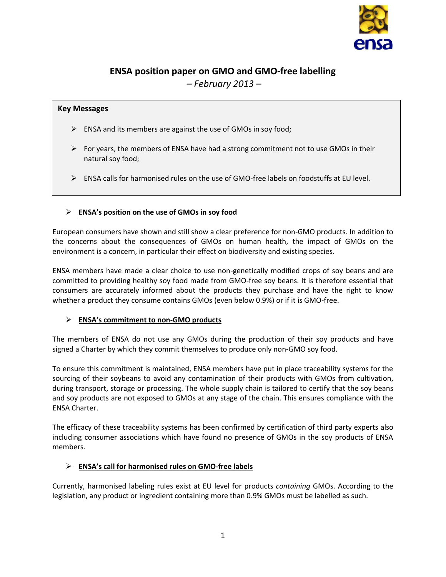

# **ENSA position paper on GMO and GMO-free labelling**  *– February 2013 –*

# **Key Messages**

- $\triangleright$  ENSA and its members are against the use of GMOs in soy food;
- $\triangleright$  For years, the members of ENSA have had a strong commitment not to use GMOs in their natural soy food;
- $\triangleright$  ENSA calls for harmonised rules on the use of GMO-free labels on foodstuffs at EU level.

# **ENSA's position on the use of GMOs in soy food**

European consumers have shown and still show a clear preference for non-GMO products. In addition to the concerns about the consequences of GMOs on human health, the impact of GMOs on the environment is a concern, in particular their effect on biodiversity and existing species.

ENSA members have made a clear choice to use non-genetically modified crops of soy beans and are committed to providing healthy soy food made from GMO-free soy beans. It is therefore essential that consumers are accurately informed about the products they purchase and have the right to know whether a product they consume contains GMOs (even below 0.9%) or if it is GMO-free.

### **ENSA's commitment to non-GMO products**

The members of ENSA do not use any GMOs during the production of their soy products and have signed a Charter by which they commit themselves to produce only non-GMO soy food.

To ensure this commitment is maintained, ENSA members have put in place traceability systems for the sourcing of their soybeans to avoid any contamination of their products with GMOs from cultivation, during transport, storage or processing. The whole supply chain is tailored to certify that the soy beans and soy products are not exposed to GMOs at any stage of the chain. This ensures compliance with the ENSA Charter.

The efficacy of these traceability systems has been confirmed by certification of third party experts also including consumer associations which have found no presence of GMOs in the soy products of ENSA members.

### **ENSA's call for harmonised rules on GMO-free labels**

Currently, harmonised labeling rules exist at EU level for products *containing* GMOs. According to the legislation, any product or ingredient containing more than 0.9% GMOs must be labelled as such.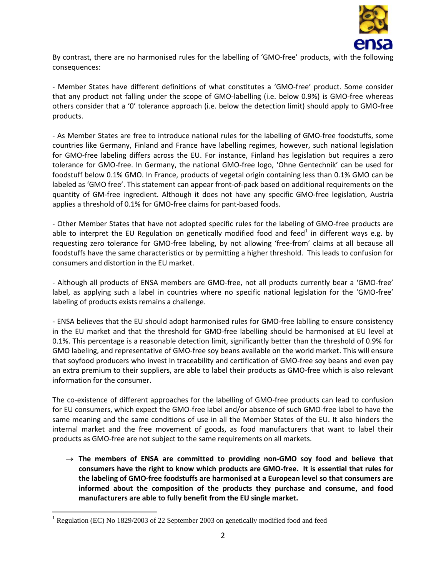

By contrast, there are no harmonised rules for the labelling of 'GMO-free' products, with the following consequences:

- Member States have different definitions of what constitutes a 'GMO-free' product. Some consider that any product not falling under the scope of GMO-labelling (i.e. below 0.9%) is GMO-free whereas others consider that a '0' tolerance approach (i.e. below the detection limit) should apply to GMO-free products.

- As Member States are free to introduce national rules for the labelling of GMO-free foodstuffs, some countries like Germany, Finland and France have labelling regimes, however, such national legislation for GMO-free labeling differs across the EU. For instance, Finland has legislation but requires a zero tolerance for GMO-free. In Germany, the national GMO-free logo, 'Ohne Gentechnik' can be used for foodstuff below 0.1% GMO. In France, products of vegetal origin containing less than 0.1% GMO can be labeled as 'GMO free'. This statement can appear front-of-pack based on additional requirements on the quantity of GM-free ingredient. Although it does not have any specific GMO-free legislation, Austria applies a threshold of 0.1% for GMO-free claims for pant-based foods.

- Other Member States that have not adopted specific rules for the labeling of GMO-free products are able to interpret the EU Regulation on genetically modified food and feed<sup>1</sup> in different ways e.g. by requesting zero tolerance for GMO-free labeling, by not allowing 'free-from' claims at all because all foodstuffs have the same characteristics or by permitting a higher threshold. This leads to confusion for consumers and distortion in the EU market.

- Although all products of ENSA members are GMO-free, not all products currently bear a 'GMO-free' label, as applying such a label in countries where no specific national legislation for the 'GMO-free' labeling of products exists remains a challenge.

- ENSA believes that the EU should adopt harmonised rules for GMO-free lablling to ensure consistency in the EU market and that the threshold for GMO-free labelling should be harmonised at EU level at 0.1%. This percentage is a reasonable detection limit, significantly better than the threshold of 0.9% for GMO labeling, and representative of GMO-free soy beans available on the world market. This will ensure that soyfood producers who invest in traceability and certification of GMO-free soy beans and even pay an extra premium to their suppliers, are able to label their products as GMO-free which is also relevant information for the consumer.

The co-existence of different approaches for the labelling of GMO-free products can lead to confusion for EU consumers, which expect the GMO-free label and/or absence of such GMO-free label to have the same meaning and the same conditions of use in all the Member States of the EU. It also hinders the internal market and the free movement of goods, as food manufacturers that want to label their products as GMO-free are not subject to the same requirements on all markets.

 **The members of ENSA are committed to providing non-GMO soy food and believe that consumers have the right to know which products are GMO-free. It is essential that rules for the labeling of GMO-free foodstuffs are harmonised at a European level so that consumers are informed about the composition of the products they purchase and consume, and food manufacturers are able to fully benefit from the EU single market.** 

 $\overline{a}$ 

<sup>&</sup>lt;sup>1</sup> Regulation (EC) No 1829/2003 of 22 September 2003 on genetically modified food and feed